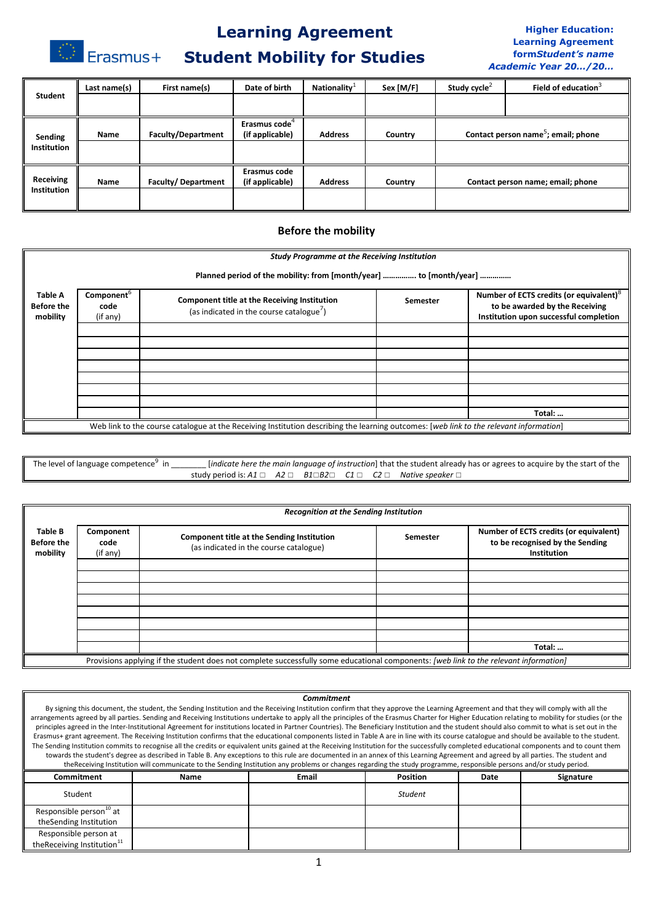# **Learning Agreement**

# **Student Mobility for Studies**

Erasmus+

#### **Higher Education: Learning Agreement form***Student's name Academic Year 20…/20…*

| <b>Student</b>                | Last name(s) | First name(s)             | Date of birth             | Nationality <sup><math>+</math></sup> | Sex [M/F] | Study cycle <sup><math>\leq</math></sup>        | Field of education <sup>3</sup>   |
|-------------------------------|--------------|---------------------------|---------------------------|---------------------------------------|-----------|-------------------------------------------------|-----------------------------------|
|                               |              |                           |                           |                                       |           |                                                 |                                   |
|                               |              |                           | Erasmus code <sup>4</sup> |                                       |           |                                                 |                                   |
| Sending<br><b>Institution</b> | Name         | <b>Faculty/Department</b> | (if applicable)           | <b>Address</b>                        | Country   | Contact person name <sup>5</sup> ; email; phone |                                   |
|                               |              |                           |                           |                                       |           |                                                 |                                   |
| Receiving                     | <b>Name</b>  |                           | Erasmus code              | <b>Address</b>                        |           |                                                 |                                   |
| <b>Institution</b>            |              | <b>Faculty/Department</b> | (if applicable)           |                                       | Country   |                                                 | Contact person name; email; phone |
|                               |              |                           |                           |                                       |           |                                                 |                                   |

### **Before the mobility**

|                                                 | <b>Study Programme at the Receiving Institution</b>                |                                                                                                                                        |          |                                                                                                                                 |  |  |  |  |  |
|-------------------------------------------------|--------------------------------------------------------------------|----------------------------------------------------------------------------------------------------------------------------------------|----------|---------------------------------------------------------------------------------------------------------------------------------|--|--|--|--|--|
|                                                 | Planned period of the mobility: from [month/year]  to [month/year] |                                                                                                                                        |          |                                                                                                                                 |  |  |  |  |  |
| <b>Table A</b><br><b>Before the</b><br>mobility | Component <sup>b</sup><br>code<br>(if any)                         | Component title at the Receiving Institution<br>(as indicated in the course catalogue <sup>7</sup> )                                   | Semester | Number of ECTS credits (or equivalent) <sup>8</sup><br>to be awarded by the Receiving<br>Institution upon successful completion |  |  |  |  |  |
|                                                 |                                                                    |                                                                                                                                        |          |                                                                                                                                 |  |  |  |  |  |
|                                                 |                                                                    |                                                                                                                                        |          |                                                                                                                                 |  |  |  |  |  |
|                                                 |                                                                    |                                                                                                                                        |          |                                                                                                                                 |  |  |  |  |  |
|                                                 |                                                                    |                                                                                                                                        |          |                                                                                                                                 |  |  |  |  |  |
|                                                 |                                                                    |                                                                                                                                        |          |                                                                                                                                 |  |  |  |  |  |
|                                                 |                                                                    |                                                                                                                                        |          |                                                                                                                                 |  |  |  |  |  |
|                                                 |                                                                    |                                                                                                                                        |          |                                                                                                                                 |  |  |  |  |  |
|                                                 |                                                                    |                                                                                                                                        |          | Total:                                                                                                                          |  |  |  |  |  |
|                                                 |                                                                    | Web link to the course catalogue at the Receiving Institution describing the learning outcomes: [web link to the relevant information] |          |                                                                                                                                 |  |  |  |  |  |

The level of language competence<sup>9</sup> in *indicate here the main language of instruction*] that the student already has or agrees to acquire by the start of the study period is: *A1* ☐ *A2* ☐ *B1*☐*B2*☐ *C1* ☐ *C2* ☐ *Native speaker* ☐

|                                          | <b>Recognition at the Sending Institution</b>                                                                                         |                                                                                      |          |                                                                                          |  |  |  |
|------------------------------------------|---------------------------------------------------------------------------------------------------------------------------------------|--------------------------------------------------------------------------------------|----------|------------------------------------------------------------------------------------------|--|--|--|
| Table B<br><b>Before the</b><br>mobility | Component<br>code<br>(if any)                                                                                                         | Component title at the Sending Institution<br>(as indicated in the course catalogue) | Semester | Number of ECTS credits (or equivalent)<br>to be recognised by the Sending<br>Institution |  |  |  |
|                                          |                                                                                                                                       |                                                                                      |          |                                                                                          |  |  |  |
|                                          |                                                                                                                                       |                                                                                      |          |                                                                                          |  |  |  |
|                                          |                                                                                                                                       |                                                                                      |          |                                                                                          |  |  |  |
|                                          |                                                                                                                                       |                                                                                      |          |                                                                                          |  |  |  |
|                                          |                                                                                                                                       |                                                                                      |          |                                                                                          |  |  |  |
|                                          |                                                                                                                                       |                                                                                      |          |                                                                                          |  |  |  |
|                                          |                                                                                                                                       |                                                                                      |          |                                                                                          |  |  |  |
|                                          |                                                                                                                                       |                                                                                      |          | Total:                                                                                   |  |  |  |
|                                          | Provisions applying if the student does not complete successfully some educational components: [web link to the relevant information] |                                                                                      |          |                                                                                          |  |  |  |

#### *Commitment*

By signing this document, the student, the Sending Institution and the Receiving Institution confirm that they approve the Learning Agreement and that they will comply with all the arrangements agreed by all parties. Sending and Receiving Institutions undertake to apply all the principles of the Erasmus Charter for Higher Education relating to mobility for studies (or the principles agreed in the Inter-Institutional Agreement for institutions located in Partner Countries). The Beneficiary Institution and the student should also commit to what is set out in the Erasmus+ grant agreement. The Receiving Institution confirms that the educational components listed in Table A are in line with its course catalogue and should be available to the student. The Sending Institution commits to recognise all the credits or equivalent units gained at the Receiving Institution for the successfully completed educational components and to count them towards the student's degree as described in Table B. Any exceptions to this rule are documented in an annex of this Learning Agreement and agreed by all parties. The student and theReceiving Institution will communicate to the Sending Institution any problems or changes regarding the study programme, responsible persons and/or study period.

| Commitment                                                       | Name | <b>Email</b> | <b>Position</b> | Date | Signature |
|------------------------------------------------------------------|------|--------------|-----------------|------|-----------|
| Student                                                          |      |              | <b>Student</b>  |      |           |
| Responsible person <sup>10</sup> at<br>theSending Institution    |      |              |                 |      |           |
| Responsible person at<br>the Receiving Institution <sup>11</sup> |      |              |                 |      |           |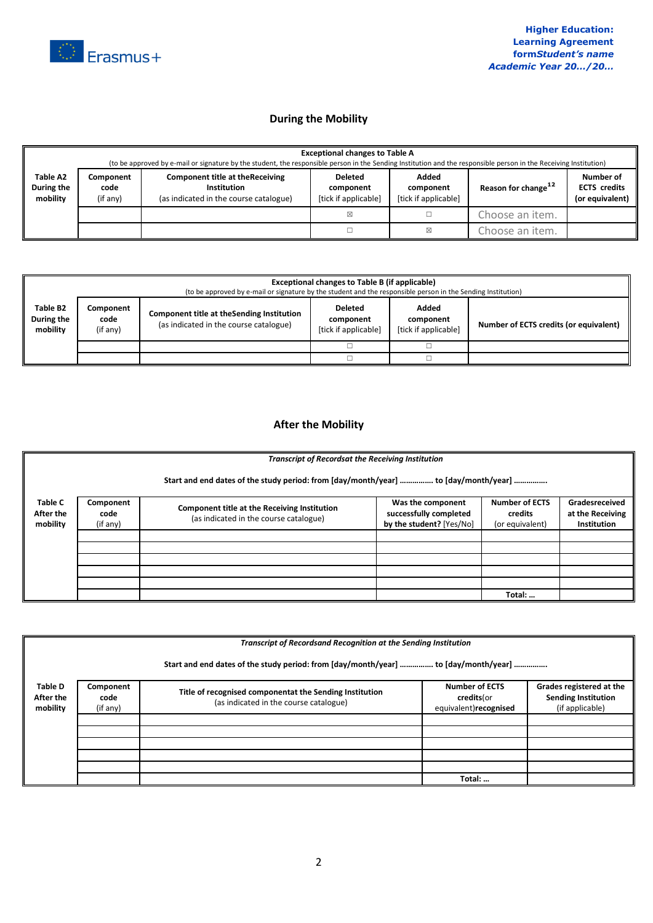

## **During the Mobility**

|                                    | <b>Exceptional changes to Table A</b><br>(to be approved by e-mail or signature by the student, the responsible person in the Sending Institution and the responsible person in the Receiving Institution) |                                                                                                  |                                                     |                                            |                                 |                                                     |  |  |
|------------------------------------|------------------------------------------------------------------------------------------------------------------------------------------------------------------------------------------------------------|--------------------------------------------------------------------------------------------------|-----------------------------------------------------|--------------------------------------------|---------------------------------|-----------------------------------------------------|--|--|
| Table A2<br>During the<br>mobility | Component<br>code<br>(if any)                                                                                                                                                                              | <b>Component title at the Receiving</b><br>Institution<br>(as indicated in the course catalogue) | <b>Deleted</b><br>component<br>[tick if applicable] | Added<br>component<br>[tick if applicable] | Reason for change <sup>12</sup> | Number of<br><b>ECTS</b> credits<br>(or equivalent) |  |  |
|                                    |                                                                                                                                                                                                            |                                                                                                  | ⊠                                                   |                                            | Choose an item.                 |                                                     |  |  |
|                                    |                                                                                                                                                                                                            |                                                                                                  |                                                     | ⊠                                          | Choose an item.                 |                                                     |  |  |

|                                    | Exceptional changes to Table B (if applicable)<br>(to be approved by e-mail or signature by the student and the responsible person in the Sending Institution) |  |  |                                            |                                        |  |  |
|------------------------------------|----------------------------------------------------------------------------------------------------------------------------------------------------------------|--|--|--------------------------------------------|----------------------------------------|--|--|
| Table B2<br>During the<br>mobility | Component<br>Component title at the Sending Institution<br>code<br>(as indicated in the course catalogue)<br>(if any)                                          |  |  | Added<br>component<br>[tick if applicable] | Number of ECTS credits (or equivalent) |  |  |
|                                    |                                                                                                                                                                |  |  |                                            |                                        |  |  |
|                                    |                                                                                                                                                                |  |  |                                            |                                        |  |  |

## **After the Mobility**

|                                  | <b>Transcript of Recordsat the Receiving Institution</b>                            |                                                                                        |                                                                         |                                                     |                                                          |  |  |  |  |
|----------------------------------|-------------------------------------------------------------------------------------|----------------------------------------------------------------------------------------|-------------------------------------------------------------------------|-----------------------------------------------------|----------------------------------------------------------|--|--|--|--|
|                                  | Start and end dates of the study period: from [day/month/year]  to [day/month/year] |                                                                                        |                                                                         |                                                     |                                                          |  |  |  |  |
| Table C<br>After the<br>mobility | Component<br>code<br>(if any)                                                       | Component title at the Receiving Institution<br>(as indicated in the course catalogue) | Was the component<br>successfully completed<br>by the student? [Yes/No] | <b>Number of ECTS</b><br>credits<br>(or equivalent) | Gradesreceived<br>at the Receiving<br><b>Institution</b> |  |  |  |  |
|                                  |                                                                                     |                                                                                        |                                                                         |                                                     |                                                          |  |  |  |  |
|                                  |                                                                                     |                                                                                        |                                                                         |                                                     |                                                          |  |  |  |  |
|                                  |                                                                                     |                                                                                        |                                                                         |                                                     |                                                          |  |  |  |  |
|                                  |                                                                                     |                                                                                        |                                                                         |                                                     |                                                          |  |  |  |  |
|                                  |                                                                                     |                                                                                        |                                                                         |                                                     |                                                          |  |  |  |  |
|                                  |                                                                                     |                                                                                        |                                                                         | Total:                                              |                                                          |  |  |  |  |

|                                  | Transcript of Recordsand Recognition at the Sending Institution |                                                                                                   |                                                              |                                                                           |  |  |  |  |
|----------------------------------|-----------------------------------------------------------------|---------------------------------------------------------------------------------------------------|--------------------------------------------------------------|---------------------------------------------------------------------------|--|--|--|--|
|                                  |                                                                 | Start and end dates of the study period: from [day/month/year]  to [day/month/year]               |                                                              |                                                                           |  |  |  |  |
| Table D<br>After the<br>mobility | Component<br>code<br>(if any)                                   | Title of recognised componentat the Sending Institution<br>(as indicated in the course catalogue) | <b>Number of ECTS</b><br>credits(or<br>equivalent)recognised | Grades registered at the<br><b>Sending Institution</b><br>(if applicable) |  |  |  |  |
|                                  |                                                                 |                                                                                                   |                                                              |                                                                           |  |  |  |  |
|                                  |                                                                 |                                                                                                   |                                                              |                                                                           |  |  |  |  |
|                                  |                                                                 |                                                                                                   |                                                              |                                                                           |  |  |  |  |
|                                  |                                                                 |                                                                                                   | Total:                                                       |                                                                           |  |  |  |  |